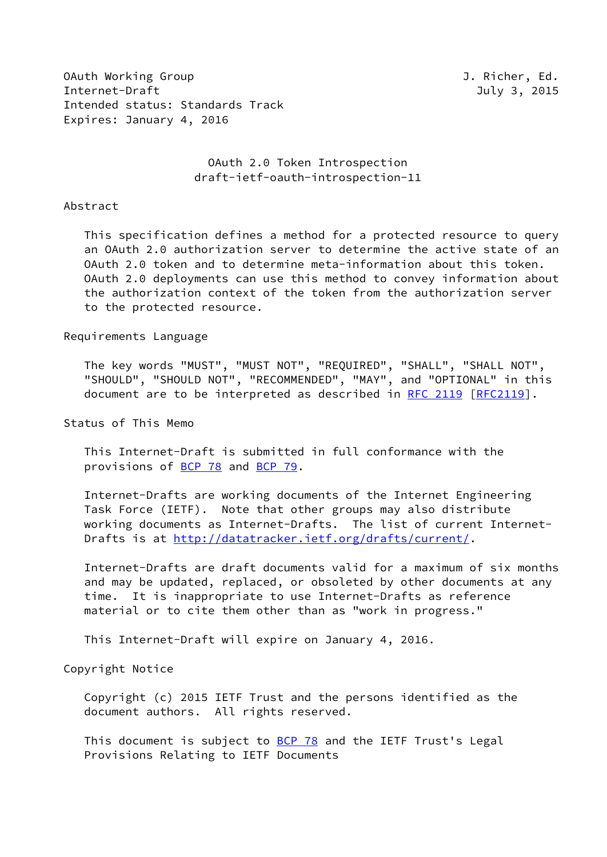OAuth Working Group J. Richer, Ed. Internet-Draft July 3, 2015 Intended status: Standards Track Expires: January 4, 2016

 OAuth 2.0 Token Introspection draft-ietf-oauth-introspection-11

#### Abstract

 This specification defines a method for a protected resource to query an OAuth 2.0 authorization server to determine the active state of an OAuth 2.0 token and to determine meta-information about this token. OAuth 2.0 deployments can use this method to convey information about the authorization context of the token from the authorization server to the protected resource.

Requirements Language

 The key words "MUST", "MUST NOT", "REQUIRED", "SHALL", "SHALL NOT", "SHOULD", "SHOULD NOT", "RECOMMENDED", "MAY", and "OPTIONAL" in this document are to be interpreted as described in [RFC 2119 \[RFC2119](https://datatracker.ietf.org/doc/pdf/rfc2119)].

Status of This Memo

 This Internet-Draft is submitted in full conformance with the provisions of [BCP 78](https://datatracker.ietf.org/doc/pdf/bcp78) and [BCP 79](https://datatracker.ietf.org/doc/pdf/bcp79).

 Internet-Drafts are working documents of the Internet Engineering Task Force (IETF). Note that other groups may also distribute working documents as Internet-Drafts. The list of current Internet- Drafts is at<http://datatracker.ietf.org/drafts/current/>.

 Internet-Drafts are draft documents valid for a maximum of six months and may be updated, replaced, or obsoleted by other documents at any time. It is inappropriate to use Internet-Drafts as reference material or to cite them other than as "work in progress."

This Internet-Draft will expire on January 4, 2016.

Copyright Notice

 Copyright (c) 2015 IETF Trust and the persons identified as the document authors. All rights reserved.

This document is subject to **[BCP 78](https://datatracker.ietf.org/doc/pdf/bcp78)** and the IETF Trust's Legal Provisions Relating to IETF Documents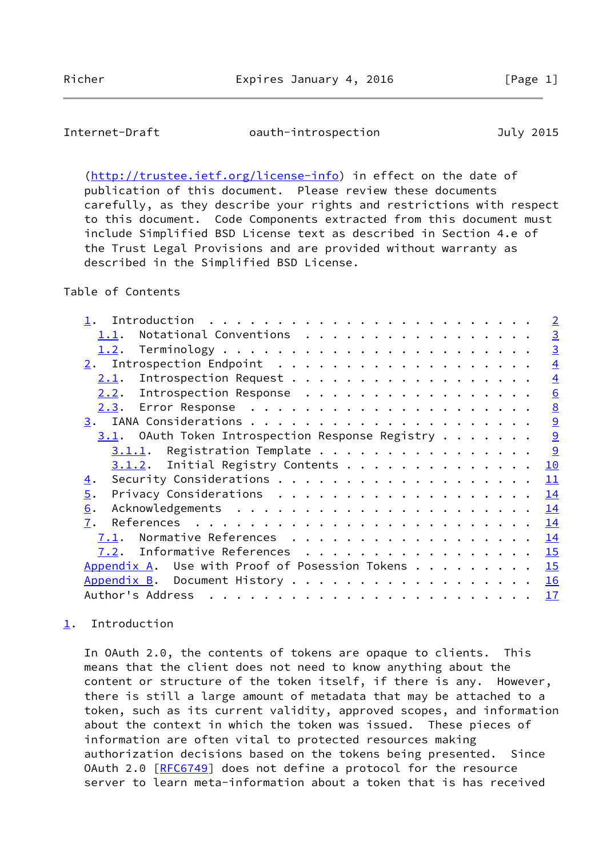<span id="page-1-1"></span>Internet-Draft oauth-introspection July 2015

 [\(http://trustee.ietf.org/license-info](http://trustee.ietf.org/license-info)) in effect on the date of publication of this document. Please review these documents carefully, as they describe your rights and restrictions with respect to this document. Code Components extracted from this document must include Simplified BSD License text as described in Section 4.e of the Trust Legal Provisions and are provided without warranty as described in the Simplified BSD License.

# Table of Contents

|                                                                                                                                                                                                                                                   | $\overline{2}$ |
|---------------------------------------------------------------------------------------------------------------------------------------------------------------------------------------------------------------------------------------------------|----------------|
| Notational Conventions<br>1.1.                                                                                                                                                                                                                    | $\overline{3}$ |
| 1.2.                                                                                                                                                                                                                                              | $\overline{3}$ |
| 2.                                                                                                                                                                                                                                                | $\overline{4}$ |
| Introspection Request<br>2.1.                                                                                                                                                                                                                     | $\overline{4}$ |
| Introspection Response<br>2.2.                                                                                                                                                                                                                    | 6              |
| 2.3.                                                                                                                                                                                                                                              | 8              |
|                                                                                                                                                                                                                                                   | 9              |
| $3.1$ . OAuth Token Introspection Response Registry                                                                                                                                                                                               | 9              |
| $3.1.1.$ Registration Template                                                                                                                                                                                                                    | 9              |
| $3.1.2$ . Initial Registry Contents                                                                                                                                                                                                               | 10             |
| <u>4</u> .                                                                                                                                                                                                                                        | 11             |
| 5.                                                                                                                                                                                                                                                | 14             |
| 6.                                                                                                                                                                                                                                                | 14             |
| 7.                                                                                                                                                                                                                                                | 14             |
| Normative References<br>7.1.                                                                                                                                                                                                                      | 14             |
| Informative References<br>7.2.                                                                                                                                                                                                                    | 15             |
| Appendix A. Use with Proof of Posession Tokens $\dots$                                                                                                                                                                                            | 15             |
|                                                                                                                                                                                                                                                   | 16             |
| Author's Address<br>. The contract of the contract of the contract of the contract of the contract of the contract of the contract of the contract of the contract of the contract of the contract of the contract of the contract of the contrac | 17             |
|                                                                                                                                                                                                                                                   |                |

# <span id="page-1-0"></span>[1](#page-1-0). Introduction

 In OAuth 2.0, the contents of tokens are opaque to clients. This means that the client does not need to know anything about the content or structure of the token itself, if there is any. However, there is still a large amount of metadata that may be attached to a token, such as its current validity, approved scopes, and information about the context in which the token was issued. These pieces of information are often vital to protected resources making authorization decisions based on the tokens being presented. Since OAuth 2.0 [[RFC6749](https://datatracker.ietf.org/doc/pdf/rfc6749)] does not define a protocol for the resource server to learn meta-information about a token that is has received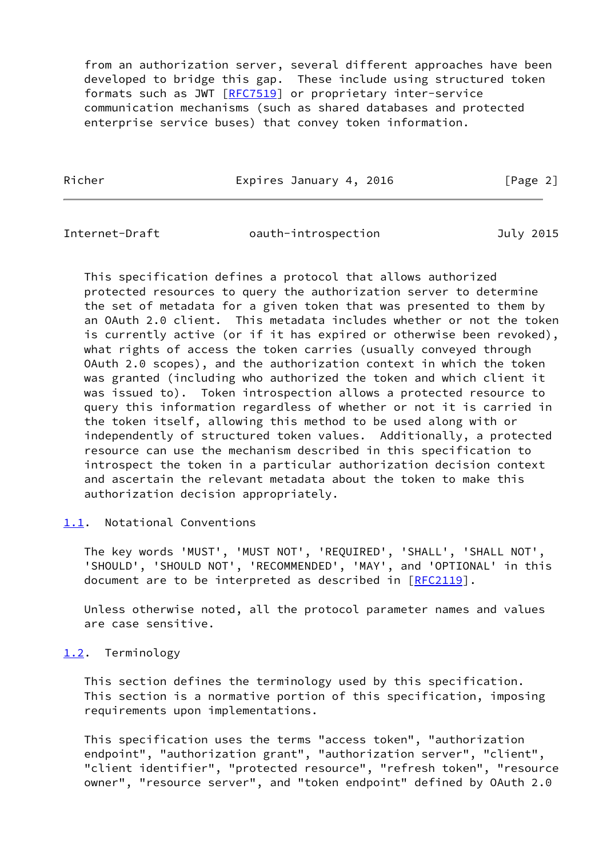from an authorization server, several different approaches have been developed to bridge this gap. These include using structured token formats such as JWT [\[RFC7519](https://datatracker.ietf.org/doc/pdf/rfc7519)] or proprietary inter-service communication mechanisms (such as shared databases and protected enterprise service buses) that convey token information.

Richer **Expires January 4, 2016** [Page 2]

<span id="page-2-1"></span>Internet-Draft oauth-introspection July 2015

 This specification defines a protocol that allows authorized protected resources to query the authorization server to determine the set of metadata for a given token that was presented to them by an OAuth 2.0 client. This metadata includes whether or not the token is currently active (or if it has expired or otherwise been revoked), what rights of access the token carries (usually conveyed through OAuth 2.0 scopes), and the authorization context in which the token was granted (including who authorized the token and which client it was issued to). Token introspection allows a protected resource to query this information regardless of whether or not it is carried in the token itself, allowing this method to be used along with or independently of structured token values. Additionally, a protected resource can use the mechanism described in this specification to introspect the token in a particular authorization decision context and ascertain the relevant metadata about the token to make this authorization decision appropriately.

## <span id="page-2-0"></span>[1.1](#page-2-0). Notational Conventions

 The key words 'MUST', 'MUST NOT', 'REQUIRED', 'SHALL', 'SHALL NOT', 'SHOULD', 'SHOULD NOT', 'RECOMMENDED', 'MAY', and 'OPTIONAL' in this document are to be interpreted as described in [\[RFC2119](https://datatracker.ietf.org/doc/pdf/rfc2119)].

 Unless otherwise noted, all the protocol parameter names and values are case sensitive.

<span id="page-2-2"></span>[1.2](#page-2-2). Terminology

 This section defines the terminology used by this specification. This section is a normative portion of this specification, imposing requirements upon implementations.

 This specification uses the terms "access token", "authorization endpoint", "authorization grant", "authorization server", "client", "client identifier", "protected resource", "refresh token", "resource owner", "resource server", and "token endpoint" defined by OAuth 2.0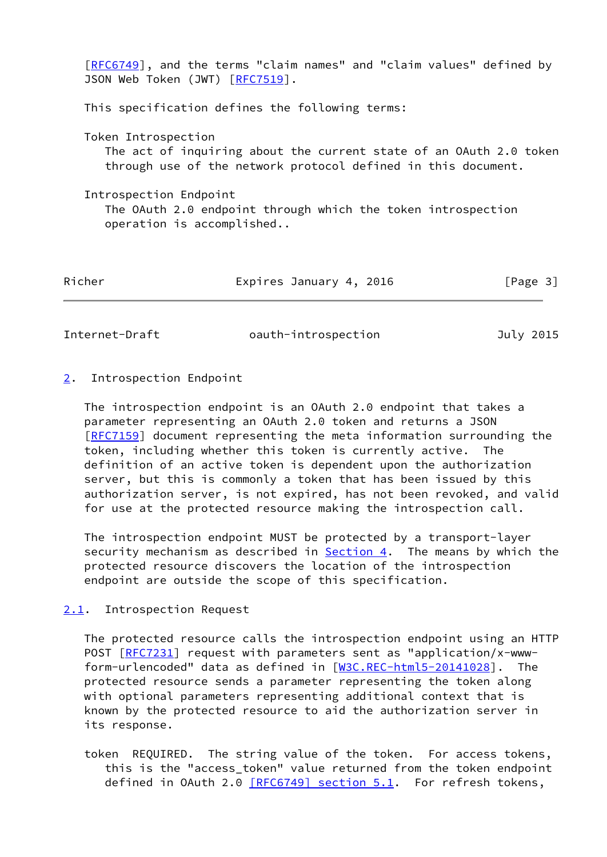| [RFC6749], and the terms "claim names" and "claim values" defined by<br>JSON Web Token (JWT) [RFC7519].                                                    |
|------------------------------------------------------------------------------------------------------------------------------------------------------------|
| This specification defines the following terms:                                                                                                            |
| Token Introspection<br>The act of inquiring about the current state of an OAuth 2.0 token<br>through use of the network protocol defined in this document. |
| Introspection Endpoint<br>The OAuth 2.0 endpoint through which the token introspection<br>operation is accomplished                                        |

| Richer | Expires January 4, 2016 | [Page 3] |  |
|--------|-------------------------|----------|--|
|        |                         |          |  |

<span id="page-3-1"></span>Internet-Draft oauth-introspection July 2015

## <span id="page-3-0"></span>[2](#page-3-0). Introspection Endpoint

 The introspection endpoint is an OAuth 2.0 endpoint that takes a parameter representing an OAuth 2.0 token and returns a JSON [\[RFC7159](https://datatracker.ietf.org/doc/pdf/rfc7159)] document representing the meta information surrounding the token, including whether this token is currently active. The definition of an active token is dependent upon the authorization server, but this is commonly a token that has been issued by this authorization server, is not expired, has not been revoked, and valid for use at the protected resource making the introspection call.

 The introspection endpoint MUST be protected by a transport-layer security mechanism as described in  $Section 4$ . The means by which the protected resource discovers the location of the introspection endpoint are outside the scope of this specification.

## <span id="page-3-2"></span>[2.1](#page-3-2). Introspection Request

 The protected resource calls the introspection endpoint using an HTTP POST [\[RFC7231](https://datatracker.ietf.org/doc/pdf/rfc7231)] request with parameters sent as "application/x-www form-urlencoded" data as defined in [\[W3C.REC-html5-20141028](#page-16-2)]. The protected resource sends a parameter representing the token along with optional parameters representing additional context that is known by the protected resource to aid the authorization server in its response.

 token REQUIRED. The string value of the token. For access tokens, this is the "access\_token" value returned from the token endpoint defined in OAuth 2.0  $[REG749]$  section 5.1. For refresh tokens,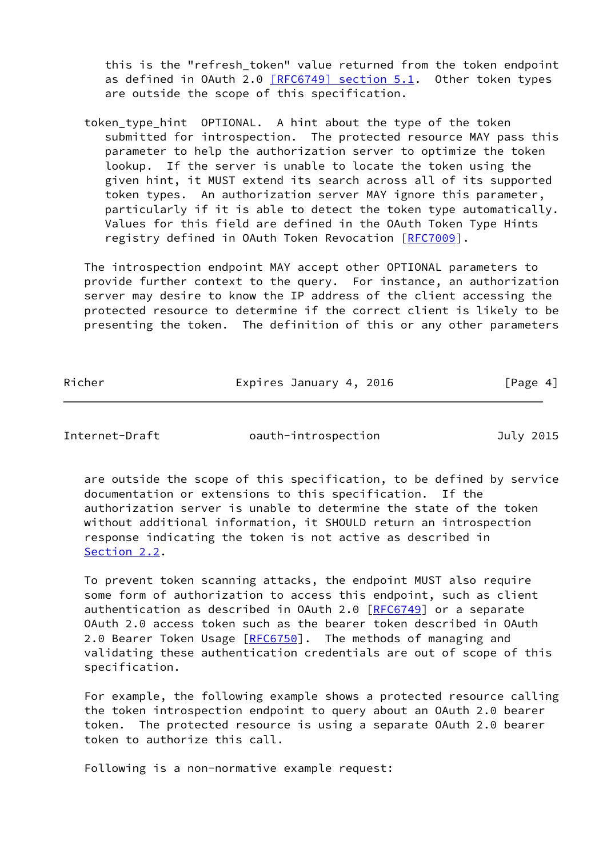this is the "refresh\_token" value returned from the token endpoint as defined in OAuth 2.0  $[REG749]$  section 5.1. Other token types are outside the scope of this specification.

token type hint OPTIONAL. A hint about the type of the token submitted for introspection. The protected resource MAY pass this parameter to help the authorization server to optimize the token lookup. If the server is unable to locate the token using the given hint, it MUST extend its search across all of its supported token types. An authorization server MAY ignore this parameter, particularly if it is able to detect the token type automatically. Values for this field are defined in the OAuth Token Type Hints registry defined in OAuth Token Revocation [[RFC7009](https://datatracker.ietf.org/doc/pdf/rfc7009)].

 The introspection endpoint MAY accept other OPTIONAL parameters to provide further context to the query. For instance, an authorization server may desire to know the IP address of the client accessing the protected resource to determine if the correct client is likely to be presenting the token. The definition of this or any other parameters

| Richer | Expires January 4, 2016 | [Page 4] |
|--------|-------------------------|----------|
|        |                         |          |

Internet-Draft oauth-introspection July 2015

 are outside the scope of this specification, to be defined by service documentation or extensions to this specification. If the authorization server is unable to determine the state of the token without additional information, it SHOULD return an introspection response indicating the token is not active as described in [Section 2.2](#page-5-0).

 To prevent token scanning attacks, the endpoint MUST also require some form of authorization to access this endpoint, such as client authentication as described in OAuth 2.0 [\[RFC6749](https://datatracker.ietf.org/doc/pdf/rfc6749)] or a separate OAuth 2.0 access token such as the bearer token described in OAuth 2.0 Bearer Token Usage [\[RFC6750](https://datatracker.ietf.org/doc/pdf/rfc6750)]. The methods of managing and validating these authentication credentials are out of scope of this specification.

 For example, the following example shows a protected resource calling the token introspection endpoint to query about an OAuth 2.0 bearer token. The protected resource is using a separate OAuth 2.0 bearer token to authorize this call.

Following is a non-normative example request: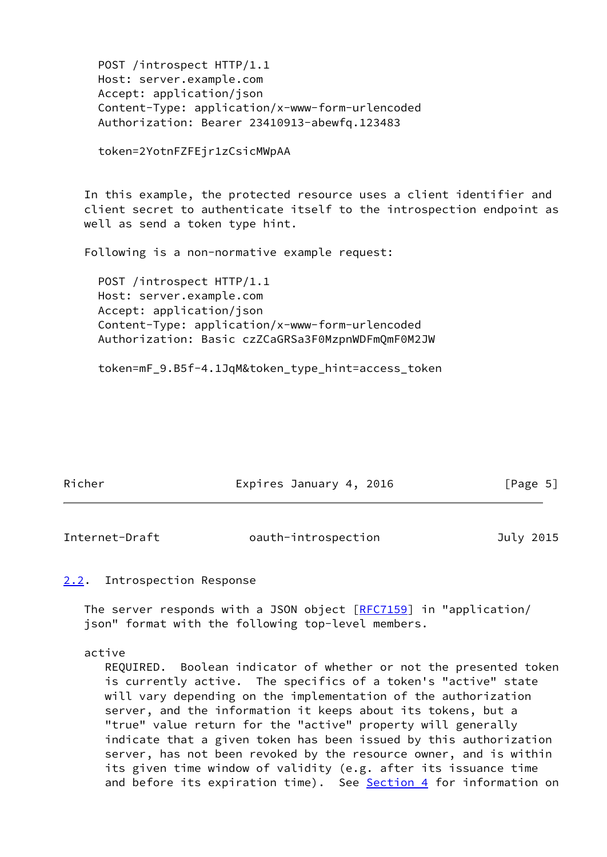```
 POST /introspect HTTP/1.1
  Host: server.example.com
  Accept: application/json
  Content-Type: application/x-www-form-urlencoded
  Authorization: Bearer 23410913-abewfq.123483
  token=2YotnFZFEjr1zCsicMWpAA
In this example, the protected resource uses a client identifier and
client secret to authenticate itself to the introspection endpoint as
well as send a token type hint.
Following is a non-normative example request:
  POST /introspect HTTP/1.1
  Host: server.example.com
  Accept: application/json
  Content-Type: application/x-www-form-urlencoded
  Authorization: Basic czZCaGRSa3F0MzpnWDFmQmF0M2JW
  token=mF_9.B5f-4.1JqM&token_type_hint=access_token
```

| Richer |
|--------|
|--------|

Expires January 4, 2016 [Page 5]

<span id="page-5-1"></span>Internet-Draft oauth-introspection July 2015

# <span id="page-5-0"></span>[2.2](#page-5-0). Introspection Response

 The server responds with a JSON object [\[RFC7159](https://datatracker.ietf.org/doc/pdf/rfc7159)] in "application/ json" format with the following top-level members.

## active

 REQUIRED. Boolean indicator of whether or not the presented token is currently active. The specifics of a token's "active" state will vary depending on the implementation of the authorization server, and the information it keeps about its tokens, but a "true" value return for the "active" property will generally indicate that a given token has been issued by this authorization server, has not been revoked by the resource owner, and is within its given time window of validity (e.g. after its issuance time and before its expiration time). See [Section 4](#page-12-0) for information on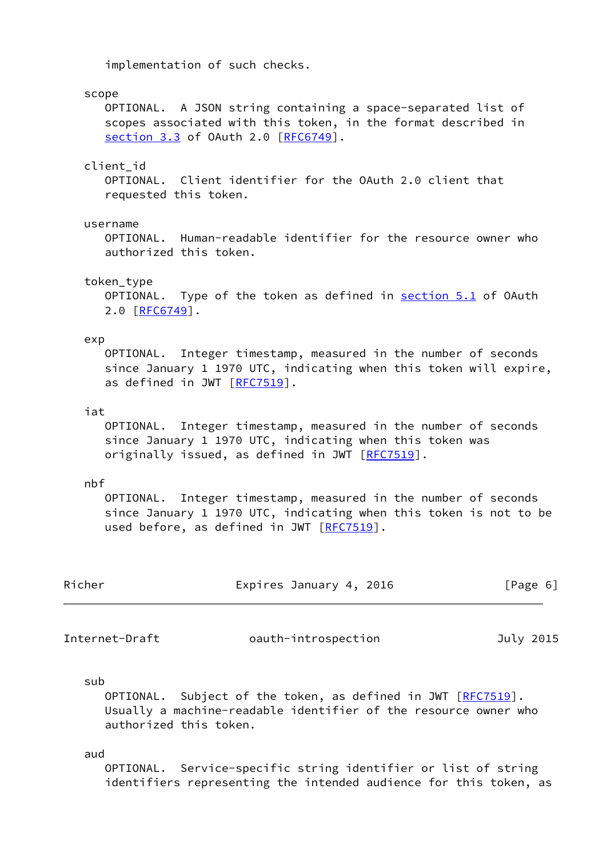implementation of such checks.

#### scope

 OPTIONAL. A JSON string containing a space-separated list of scopes associated with this token, in the format described in section 3.3 of OAuth 2.0 [\[RFC6749](https://datatracker.ietf.org/doc/pdf/rfc6749)].

## client\_id

 OPTIONAL. Client identifier for the OAuth 2.0 client that requested this token.

#### username

 OPTIONAL. Human-readable identifier for the resource owner who authorized this token.

#### token\_type

OPTIONAL. Type of the token as defined in section 5.1 of OAuth 2.0 [\[RFC6749](https://datatracker.ietf.org/doc/pdf/rfc6749)].

#### exp

 OPTIONAL. Integer timestamp, measured in the number of seconds since January 1 1970 UTC, indicating when this token will expire, as defined in JWT [\[RFC7519](https://datatracker.ietf.org/doc/pdf/rfc7519)].

#### iat

 OPTIONAL. Integer timestamp, measured in the number of seconds since January 1 1970 UTC, indicating when this token was originally issued, as defined in JWT [\[RFC7519](https://datatracker.ietf.org/doc/pdf/rfc7519)].

## nbf

 OPTIONAL. Integer timestamp, measured in the number of seconds since January 1 1970 UTC, indicating when this token is not to be used before, as defined in JWT [[RFC7519](https://datatracker.ietf.org/doc/pdf/rfc7519)].

| Richer | Expires January 4, 2016 | [Page 6] |
|--------|-------------------------|----------|
|        |                         |          |

Internet-Draft oauth-introspection July 2015

#### sub

OPTIONAL. Subject of the token, as defined in JWT [[RFC7519](https://datatracker.ietf.org/doc/pdf/rfc7519)]. Usually a machine-readable identifier of the resource owner who authorized this token.

#### aud

 OPTIONAL. Service-specific string identifier or list of string identifiers representing the intended audience for this token, as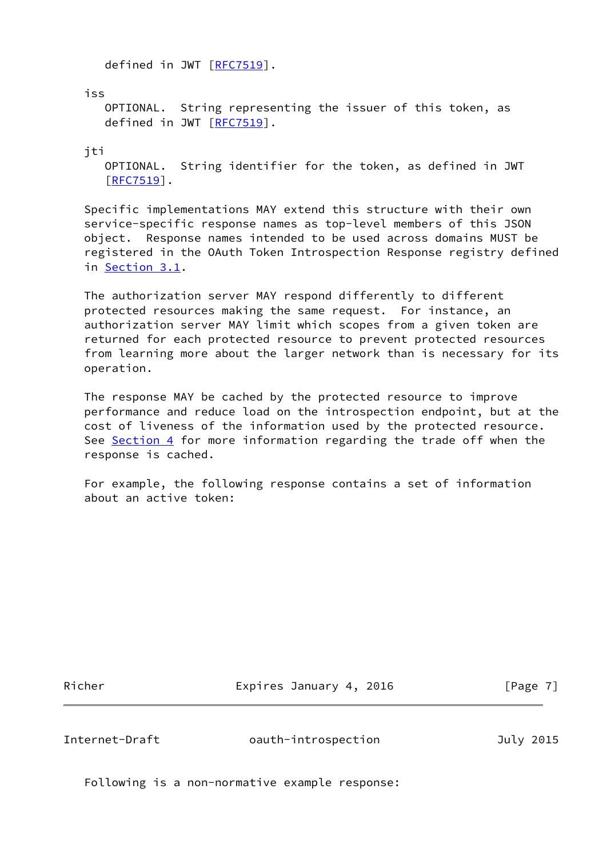defined in JWT [[RFC7519](https://datatracker.ietf.org/doc/pdf/rfc7519)].

iss

 OPTIONAL. String representing the issuer of this token, as defined in JWT [[RFC7519](https://datatracker.ietf.org/doc/pdf/rfc7519)].

jti

 OPTIONAL. String identifier for the token, as defined in JWT [[RFC7519\]](https://datatracker.ietf.org/doc/pdf/rfc7519).

 Specific implementations MAY extend this structure with their own service-specific response names as top-level members of this JSON object. Response names intended to be used across domains MUST be registered in the OAuth Token Introspection Response registry defined in [Section 3.1](#page-9-2).

 The authorization server MAY respond differently to different protected resources making the same request. For instance, an authorization server MAY limit which scopes from a given token are returned for each protected resource to prevent protected resources from learning more about the larger network than is necessary for its operation.

 The response MAY be cached by the protected resource to improve performance and reduce load on the introspection endpoint, but at the cost of liveness of the information used by the protected resource. See [Section 4](#page-12-0) for more information regarding the trade off when the response is cached.

 For example, the following response contains a set of information about an active token:

Richer **Expires January 4, 2016** [Page 7]

<span id="page-7-0"></span>Internet-Draft oauth-introspection July 2015

Following is a non-normative example response: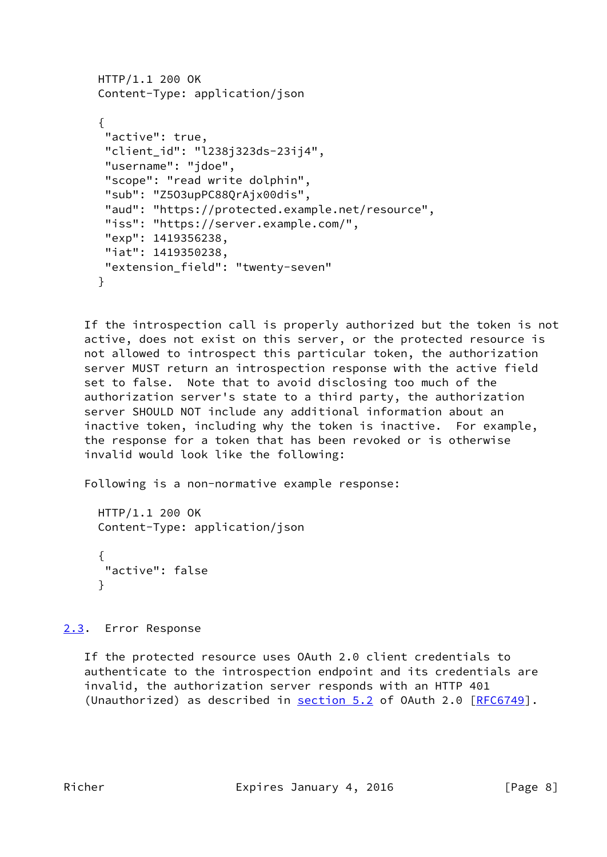```
 HTTP/1.1 200 OK
Content-Type: application/json
{
 "active": true,
 "client_id": "l238j323ds-23ij4",
 "username": "jdoe",
 "scope": "read write dolphin",
 "sub": "Z5O3upPC88QrAjx00dis",
 "aud": "https://protected.example.net/resource",
 "iss": "https://server.example.com/",
 "exp": 1419356238,
 "iat": 1419350238,
 "extension_field": "twenty-seven"
}
```
 If the introspection call is properly authorized but the token is not active, does not exist on this server, or the protected resource is not allowed to introspect this particular token, the authorization server MUST return an introspection response with the active field set to false. Note that to avoid disclosing too much of the authorization server's state to a third party, the authorization server SHOULD NOT include any additional information about an inactive token, including why the token is inactive. For example, the response for a token that has been revoked or is otherwise invalid would look like the following:

Following is a non-normative example response:

```
 HTTP/1.1 200 OK
Content-Type: application/json
{
"active": false
}
```
<span id="page-8-0"></span>[2.3](#page-8-0). Error Response

 If the protected resource uses OAuth 2.0 client credentials to authenticate to the introspection endpoint and its credentials are invalid, the authorization server responds with an HTTP 401 (Unauthorized) as described in section 5.2 of OAuth 2.0 [\[RFC6749](https://datatracker.ietf.org/doc/pdf/rfc6749)].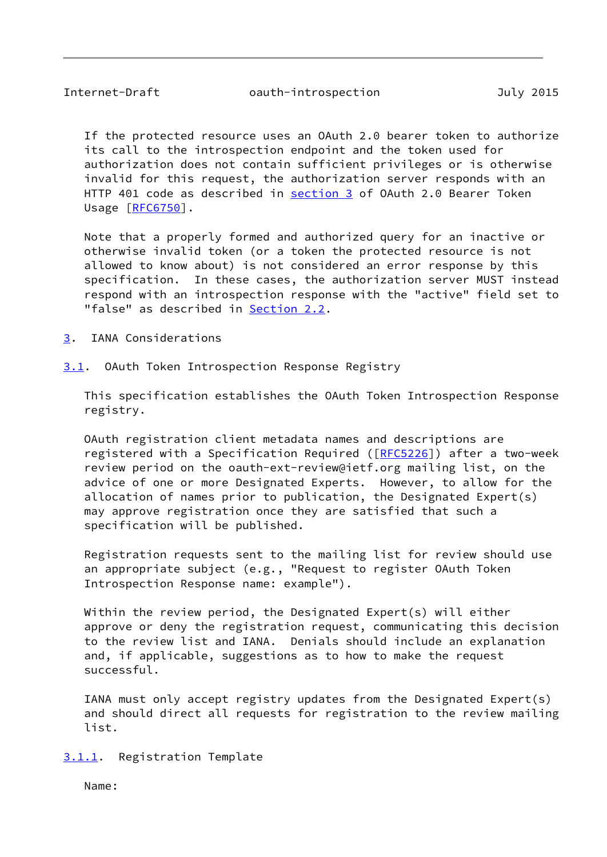<span id="page-9-1"></span> If the protected resource uses an OAuth 2.0 bearer token to authorize its call to the introspection endpoint and the token used for authorization does not contain sufficient privileges or is otherwise invalid for this request, the authorization server responds with an HTTP 401 code as described in [section 3](#page-9-0) of OAuth 2.0 Bearer Token Usage [[RFC6750](https://datatracker.ietf.org/doc/pdf/rfc6750)].

 Note that a properly formed and authorized query for an inactive or otherwise invalid token (or a token the protected resource is not allowed to know about) is not considered an error response by this specification. In these cases, the authorization server MUST instead respond with an introspection response with the "active" field set to "false" as described in [Section 2.2](#page-5-0).

<span id="page-9-0"></span>[3](#page-9-0). IANA Considerations

<span id="page-9-2"></span>[3.1](#page-9-2). OAuth Token Introspection Response Registry

 This specification establishes the OAuth Token Introspection Response registry.

 OAuth registration client metadata names and descriptions are registered with a Specification Required ([[RFC5226](https://datatracker.ietf.org/doc/pdf/rfc5226)]) after a two-week review period on the oauth-ext-review@ietf.org mailing list, on the advice of one or more Designated Experts. However, to allow for the allocation of names prior to publication, the Designated Expert(s) may approve registration once they are satisfied that such a specification will be published.

 Registration requests sent to the mailing list for review should use an appropriate subject (e.g., "Request to register OAuth Token Introspection Response name: example").

 Within the review period, the Designated Expert(s) will either approve or deny the registration request, communicating this decision to the review list and IANA. Denials should include an explanation and, if applicable, suggestions as to how to make the request successful.

 IANA must only accept registry updates from the Designated Expert(s) and should direct all requests for registration to the review mailing list.

<span id="page-9-3"></span>[3.1.1](#page-9-3). Registration Template

Name: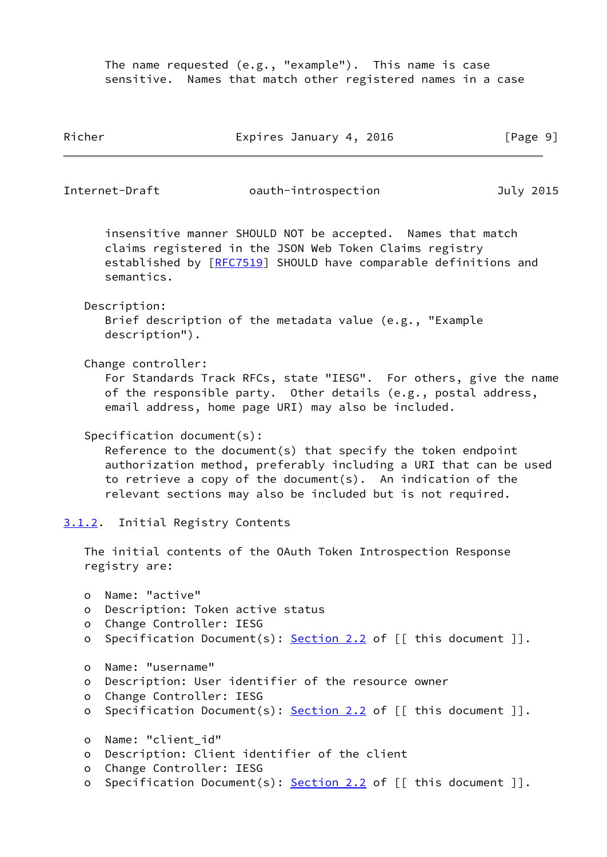The name requested (e.g., "example"). This name is case sensitive. Names that match other registered names in a case

<span id="page-10-1"></span><span id="page-10-0"></span>

| Richer                 |                                                                               | Expires January 4, 2016                                                                                                                                                                                                                                         | [Page 9]  |
|------------------------|-------------------------------------------------------------------------------|-----------------------------------------------------------------------------------------------------------------------------------------------------------------------------------------------------------------------------------------------------------------|-----------|
|                        | Internet-Draft                                                                | oauth-introspection                                                                                                                                                                                                                                             | July 2015 |
|                        | semantics.                                                                    | insensitive manner SHOULD NOT be accepted. Names that match<br>claims registered in the JSON Web Token Claims registry<br>established by [RFC7519] SHOULD have comparable definitions and                                                                       |           |
|                        | Description:<br>description").                                                | Brief description of the metadata value (e.g., "Example                                                                                                                                                                                                         |           |
|                        | Change controller:                                                            | For Standards Track RFCs, state "IESG". For others, give the name<br>of the responsible party. Other details (e.g., postal address,<br>email address, home page URI) may also be included.                                                                      |           |
|                        | Specification document(s):                                                    | Reference to the document(s) that specify the token endpoint<br>authorization method, preferably including a URI that can be used<br>to retrieve a copy of the document(s). An indication of the<br>relevant sections may also be included but is not required. |           |
|                        | 3.1.2. Initial Registry Contents                                              |                                                                                                                                                                                                                                                                 |           |
|                        | registry are:                                                                 | The initial contents of the OAuth Token Introspection Response                                                                                                                                                                                                  |           |
| O<br>o<br>$\circ$<br>o | Name: "active"<br>Description: Token active status<br>Change Controller: IESG | Specification Document(s): Section 2.2 of $[[$ this document $]]$ .                                                                                                                                                                                             |           |
| O<br>$\circ$<br>o<br>о | Name: "username"<br>Change Controller: IESG                                   | Description: User identifier of the resource owner<br>Specification Document(s): $Section 2.2$ of $[$ this document $]$ .                                                                                                                                       |           |
| O<br>o<br>o<br>o       | Name: "client_id"<br>Change Controller: IESG                                  | Description: Client identifier of the client<br>Specification Document(s): $Section 2.2$ of $[$ this document $]$ .                                                                                                                                             |           |
|                        |                                                                               |                                                                                                                                                                                                                                                                 |           |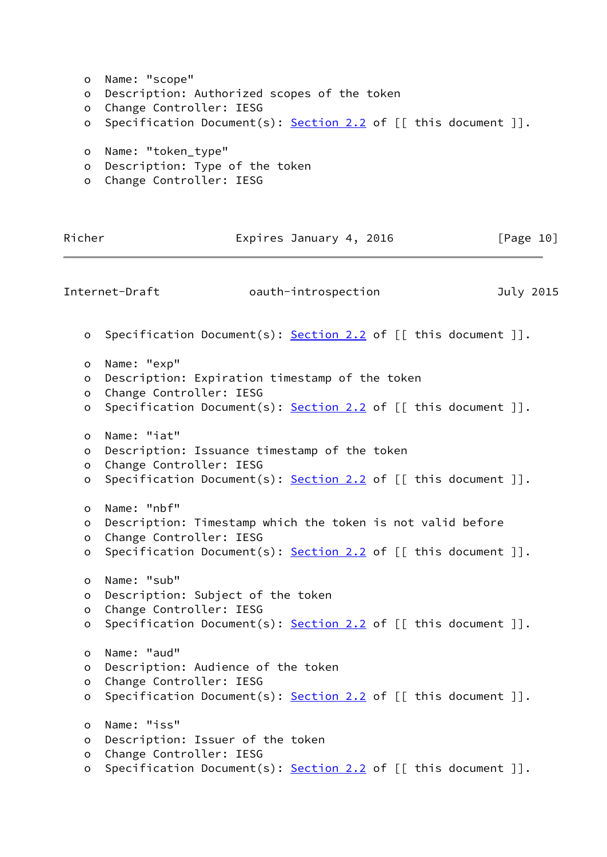<span id="page-11-0"></span> o Name: "scope" o Description: Authorized scopes of the token o Change Controller: IESG o Specification Document(s): [Section 2.2](#page-5-0) of [[ this document ]]. o Name: "token\_type" o Description: Type of the token o Change Controller: IESG Richer **Expires January 4, 2016** [Page 10] Internet-Draft oauth-introspection July 2015 o Specification Document(s): [Section 2.2](#page-5-0) of [[ this document ]]. o Name: "exp" o Description: Expiration timestamp of the token o Change Controller: IESG o Specification Document(s):  $Section 2.2$  of  $\lceil \int$  this document  $\rceil$ . o Name: "iat" o Description: Issuance timestamp of the token o Change Controller: IESG o Specification Document(s): [Section 2.2](#page-5-0) of [[ this document ]]. o Name: "nbf" o Description: Timestamp which the token is not valid before o Change Controller: IESG o Specification Document(s): [Section 2.2](#page-5-0) of [[ this document ]]. o Name: "sub" o Description: Subject of the token o Change Controller: IESG o Specification Document(s): [Section 2.2](#page-5-0) of [[ this document ]]. o Name: "aud" o Description: Audience of the token o Change Controller: IESG o Specification Document(s): [Section 2.2](#page-5-0) of [[ this document ]]. o Name: "iss" o Description: Issuer of the token o Change Controller: IESG o Specification Document(s): [Section 2.2](#page-5-0) of [[ this document ]].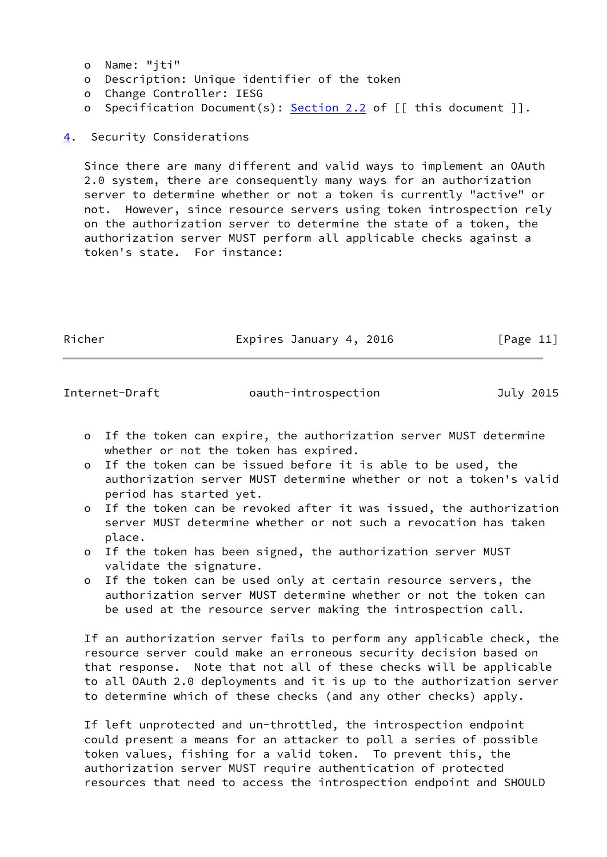- o Name: "jti"
- o Description: Unique identifier of the token
- o Change Controller: IESG
- o Specification Document(s): [Section 2.2](#page-5-0) of [[ this document ]].

<span id="page-12-0"></span>[4](#page-12-0). Security Considerations

 Since there are many different and valid ways to implement an OAuth 2.0 system, there are consequently many ways for an authorization server to determine whether or not a token is currently "active" or not. However, since resource servers using token introspection rely on the authorization server to determine the state of a token, the authorization server MUST perform all applicable checks against a token's state. For instance:

Richer **Expires January 4, 2016** [Page 11]

Internet-Draft oauth-introspection July 2015

- o If the token can expire, the authorization server MUST determine whether or not the token has expired.
- o If the token can be issued before it is able to be used, the authorization server MUST determine whether or not a token's valid period has started yet.
- o If the token can be revoked after it was issued, the authorization server MUST determine whether or not such a revocation has taken place.
- o If the token has been signed, the authorization server MUST validate the signature.
- o If the token can be used only at certain resource servers, the authorization server MUST determine whether or not the token can be used at the resource server making the introspection call.

 If an authorization server fails to perform any applicable check, the resource server could make an erroneous security decision based on that response. Note that not all of these checks will be applicable to all OAuth 2.0 deployments and it is up to the authorization server to determine which of these checks (and any other checks) apply.

 If left unprotected and un-throttled, the introspection endpoint could present a means for an attacker to poll a series of possible token values, fishing for a valid token. To prevent this, the authorization server MUST require authentication of protected resources that need to access the introspection endpoint and SHOULD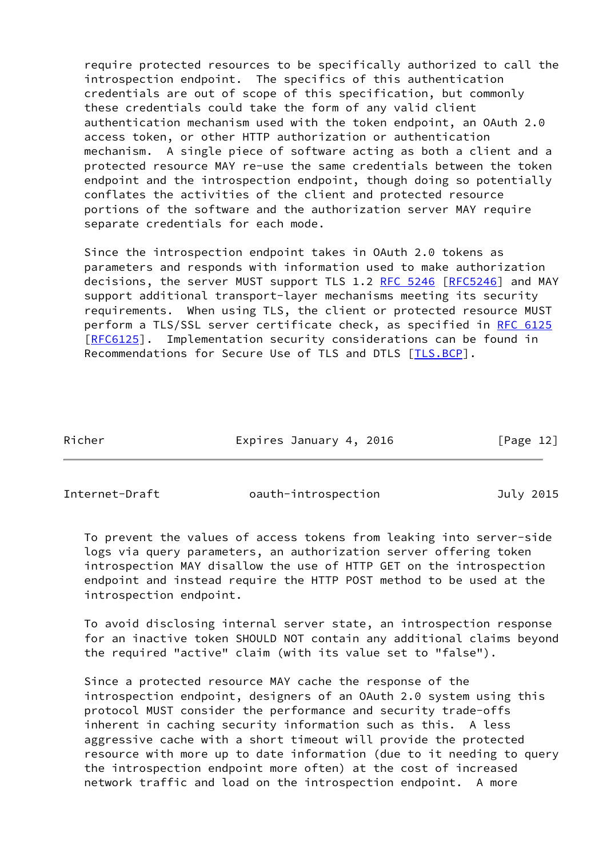require protected resources to be specifically authorized to call the introspection endpoint. The specifics of this authentication credentials are out of scope of this specification, but commonly these credentials could take the form of any valid client authentication mechanism used with the token endpoint, an OAuth 2.0 access token, or other HTTP authorization or authentication mechanism. A single piece of software acting as both a client and a protected resource MAY re-use the same credentials between the token endpoint and the introspection endpoint, though doing so potentially conflates the activities of the client and protected resource portions of the software and the authorization server MAY require separate credentials for each mode.

 Since the introspection endpoint takes in OAuth 2.0 tokens as parameters and responds with information used to make authorization decisions, the server MUST support TLS 1.2 [RFC 5246 \[RFC5246](https://datatracker.ietf.org/doc/pdf/rfc5246)] and MAY support additional transport-layer mechanisms meeting its security requirements. When using TLS, the client or protected resource MUST perform a TLS/SSL server certificate check, as specified in [RFC 6125](https://datatracker.ietf.org/doc/pdf/rfc6125) [\[RFC6125](https://datatracker.ietf.org/doc/pdf/rfc6125)]. Implementation security considerations can be found in Recommendations for Secure Use of TLS and DTLS [\[TLS.BCP](#page-16-3)].

Richer **Expires January 4, 2016** [Page 12]

Internet-Draft oauth-introspection July 2015

 To prevent the values of access tokens from leaking into server-side logs via query parameters, an authorization server offering token introspection MAY disallow the use of HTTP GET on the introspection endpoint and instead require the HTTP POST method to be used at the introspection endpoint.

 To avoid disclosing internal server state, an introspection response for an inactive token SHOULD NOT contain any additional claims beyond the required "active" claim (with its value set to "false").

 Since a protected resource MAY cache the response of the introspection endpoint, designers of an OAuth 2.0 system using this protocol MUST consider the performance and security trade-offs inherent in caching security information such as this. A less aggressive cache with a short timeout will provide the protected resource with more up to date information (due to it needing to query the introspection endpoint more often) at the cost of increased network traffic and load on the introspection endpoint. A more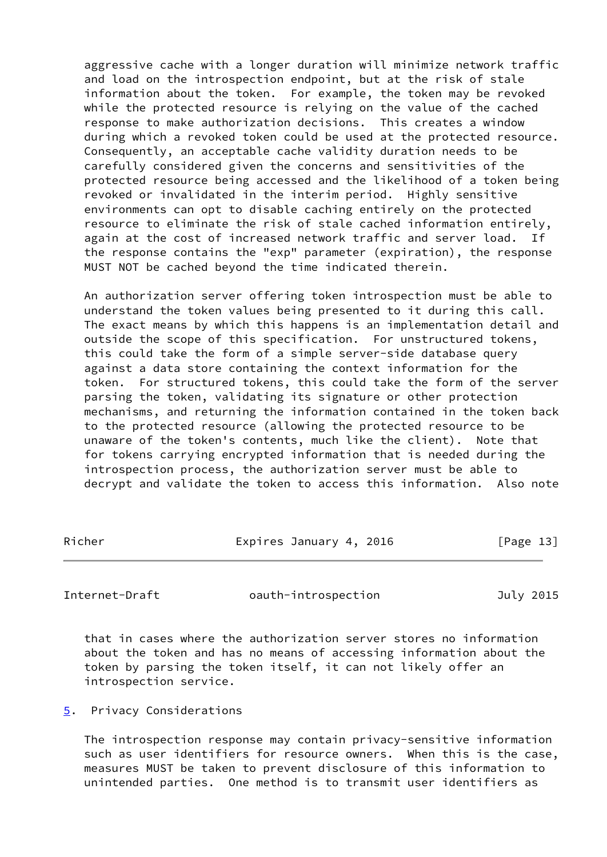aggressive cache with a longer duration will minimize network traffic and load on the introspection endpoint, but at the risk of stale information about the token. For example, the token may be revoked while the protected resource is relying on the value of the cached response to make authorization decisions. This creates a window during which a revoked token could be used at the protected resource. Consequently, an acceptable cache validity duration needs to be carefully considered given the concerns and sensitivities of the protected resource being accessed and the likelihood of a token being revoked or invalidated in the interim period. Highly sensitive environments can opt to disable caching entirely on the protected resource to eliminate the risk of stale cached information entirely, again at the cost of increased network traffic and server load. If the response contains the "exp" parameter (expiration), the response MUST NOT be cached beyond the time indicated therein.

 An authorization server offering token introspection must be able to understand the token values being presented to it during this call. The exact means by which this happens is an implementation detail and outside the scope of this specification. For unstructured tokens, this could take the form of a simple server-side database query against a data store containing the context information for the token. For structured tokens, this could take the form of the server parsing the token, validating its signature or other protection mechanisms, and returning the information contained in the token back to the protected resource (allowing the protected resource to be unaware of the token's contents, much like the client). Note that for tokens carrying encrypted information that is needed during the introspection process, the authorization server must be able to decrypt and validate the token to access this information. Also note

Richer **Expires January 4, 2016** [Page 13]

<span id="page-14-1"></span>Internet-Draft oauth-introspection July 2015

 that in cases where the authorization server stores no information about the token and has no means of accessing information about the token by parsing the token itself, it can not likely offer an introspection service.

<span id="page-14-0"></span>[5](#page-14-0). Privacy Considerations

 The introspection response may contain privacy-sensitive information such as user identifiers for resource owners. When this is the case, measures MUST be taken to prevent disclosure of this information to unintended parties. One method is to transmit user identifiers as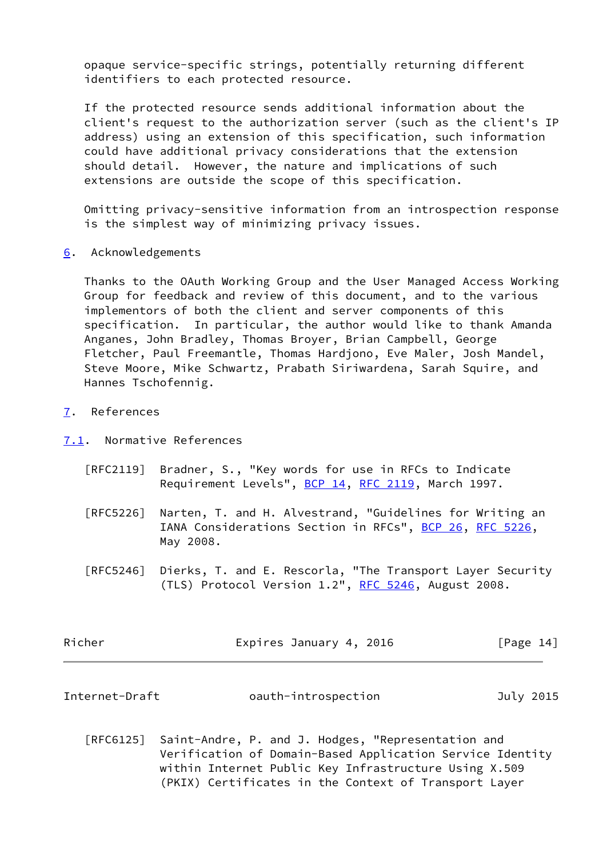opaque service-specific strings, potentially returning different identifiers to each protected resource.

 If the protected resource sends additional information about the client's request to the authorization server (such as the client's IP address) using an extension of this specification, such information could have additional privacy considerations that the extension should detail. However, the nature and implications of such extensions are outside the scope of this specification.

 Omitting privacy-sensitive information from an introspection response is the simplest way of minimizing privacy issues.

<span id="page-15-0"></span>[6](#page-15-0). Acknowledgements

 Thanks to the OAuth Working Group and the User Managed Access Working Group for feedback and review of this document, and to the various implementors of both the client and server components of this specification. In particular, the author would like to thank Amanda Anganes, John Bradley, Thomas Broyer, Brian Campbell, George Fletcher, Paul Freemantle, Thomas Hardjono, Eve Maler, Josh Mandel, Steve Moore, Mike Schwartz, Prabath Siriwardena, Sarah Squire, and Hannes Tschofennig.

<span id="page-15-1"></span>[7](#page-15-1). References

<span id="page-15-2"></span>[7.1](#page-15-2). Normative References

- [RFC2119] Bradner, S., "Key words for use in RFCs to Indicate Requirement Levels", [BCP 14](https://datatracker.ietf.org/doc/pdf/bcp14), [RFC 2119](https://datatracker.ietf.org/doc/pdf/rfc2119), March 1997.
- [RFC5226] Narten, T. and H. Alvestrand, "Guidelines for Writing an IANA Considerations Section in RFCs", [BCP 26](https://datatracker.ietf.org/doc/pdf/bcp26), [RFC 5226](https://datatracker.ietf.org/doc/pdf/rfc5226), May 2008.
- [RFC5246] Dierks, T. and E. Rescorla, "The Transport Layer Security (TLS) Protocol Version 1.2", [RFC 5246](https://datatracker.ietf.org/doc/pdf/rfc5246), August 2008.

| Richer | Expires January 4, 2016 | [Page 14] |
|--------|-------------------------|-----------|
|        |                         |           |

<span id="page-15-3"></span>

| Internet-Draft<br>oauth-introspection | July 2015 |  |
|---------------------------------------|-----------|--|
|---------------------------------------|-----------|--|

 [RFC6125] Saint-Andre, P. and J. Hodges, "Representation and Verification of Domain-Based Application Service Identity within Internet Public Key Infrastructure Using X.509 (PKIX) Certificates in the Context of Transport Layer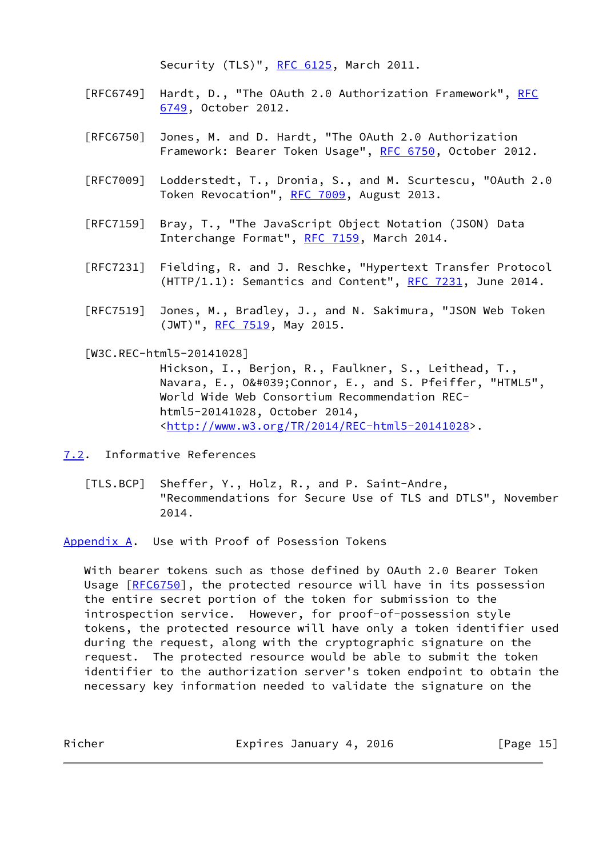Security (TLS)", [RFC 6125,](https://datatracker.ietf.org/doc/pdf/rfc6125) March 2011.

- [RFC6749] Hardt, D., "The OAuth 2.0 Authorization Framework", [RFC](https://datatracker.ietf.org/doc/pdf/rfc6749) [6749,](https://datatracker.ietf.org/doc/pdf/rfc6749) October 2012.
- [RFC6750] Jones, M. and D. Hardt, "The OAuth 2.0 Authorization Framework: Bearer Token Usage", [RFC 6750,](https://datatracker.ietf.org/doc/pdf/rfc6750) October 2012.
- [RFC7009] Lodderstedt, T., Dronia, S., and M. Scurtescu, "OAuth 2.0 Token Revocation", [RFC 7009](https://datatracker.ietf.org/doc/pdf/rfc7009), August 2013.
- [RFC7159] Bray, T., "The JavaScript Object Notation (JSON) Data Interchange Format", [RFC 7159](https://datatracker.ietf.org/doc/pdf/rfc7159), March 2014.
- [RFC7231] Fielding, R. and J. Reschke, "Hypertext Transfer Protocol  $(HTTP/1.1):$  Semantics and Content", RFC  $7231$ , June 2014.
- [RFC7519] Jones, M., Bradley, J., and N. Sakimura, "JSON Web Token (JWT)", [RFC 7519,](https://datatracker.ietf.org/doc/pdf/rfc7519) May 2015.

<span id="page-16-2"></span>[W3C.REC-html5-20141028]

 Hickson, I., Berjon, R., Faulkner, S., Leithead, T., Navara, E., 0'Connor, E., and S. Pfeiffer, "HTML5", World Wide Web Consortium Recommendation REC html5-20141028, October 2014, <[http://www.w3.org/TR/2014/REC-html5-20141028>](http://www.w3.org/TR/2014/REC-html5-20141028).

<span id="page-16-0"></span>[7.2](#page-16-0). Informative References

<span id="page-16-3"></span> [TLS.BCP] Sheffer, Y., Holz, R., and P. Saint-Andre, "Recommendations for Secure Use of TLS and DTLS", November 2014.

<span id="page-16-1"></span>[Appendix A.](#page-16-1) Use with Proof of Posession Tokens

 With bearer tokens such as those defined by OAuth 2.0 Bearer Token Usage [[RFC6750](https://datatracker.ietf.org/doc/pdf/rfc6750)], the protected resource will have in its possession the entire secret portion of the token for submission to the introspection service. However, for proof-of-possession style tokens, the protected resource will have only a token identifier used during the request, along with the cryptographic signature on the request. The protected resource would be able to submit the token identifier to the authorization server's token endpoint to obtain the necessary key information needed to validate the signature on the

Richer **Expires January 4, 2016** [Page 15]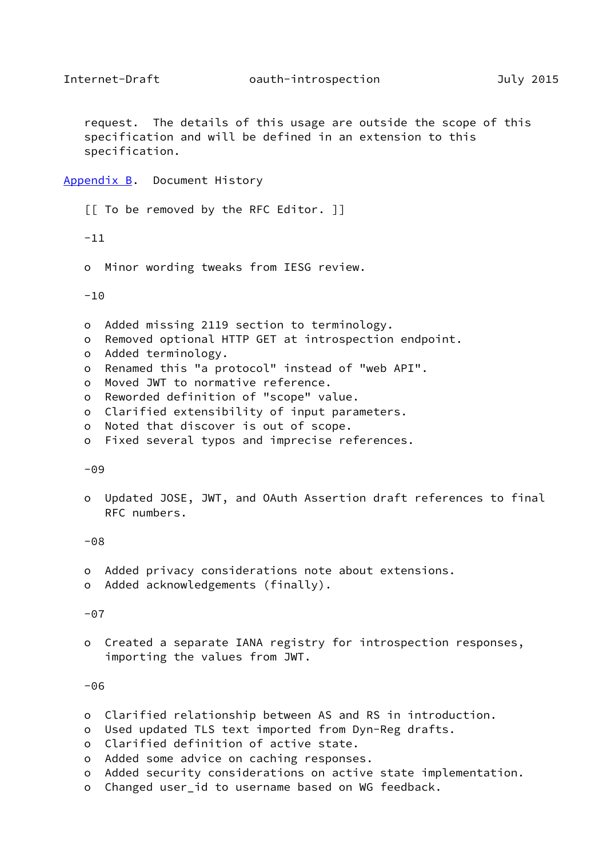<span id="page-17-1"></span> request. The details of this usage are outside the scope of this specification and will be defined in an extension to this specification.

<span id="page-17-0"></span>[Appendix B.](#page-17-0) Document History

[[ To be removed by the RFC Editor. ]]

-11

o Minor wording tweaks from IESG review.

 $-10$ 

- o Added missing 2119 section to terminology.
- o Removed optional HTTP GET at introspection endpoint.
- o Added terminology.
- o Renamed this "a protocol" instead of "web API".
- o Moved JWT to normative reference.
- o Reworded definition of "scope" value.
- o Clarified extensibility of input parameters.
- o Noted that discover is out of scope.
- o Fixed several typos and imprecise references.

-09

 o Updated JOSE, JWT, and OAuth Assertion draft references to final RFC numbers.

-08

- o Added privacy considerations note about extensions.
- o Added acknowledgements (finally).

 $-07$ 

 o Created a separate IANA registry for introspection responses, importing the values from JWT.

-06

- o Clarified relationship between AS and RS in introduction.
- o Used updated TLS text imported from Dyn-Reg drafts.
- o Clarified definition of active state.
- o Added some advice on caching responses.
- o Added security considerations on active state implementation.
- o Changed user\_id to username based on WG feedback.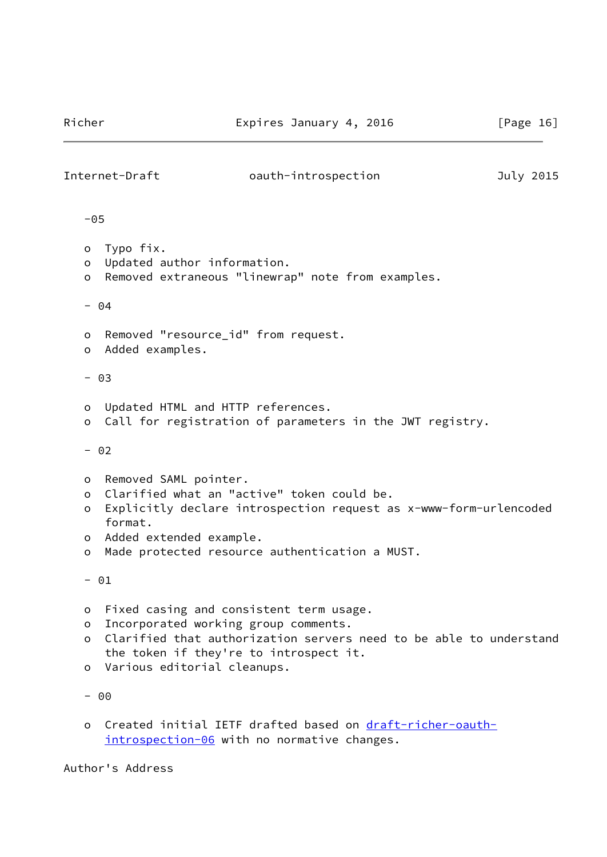<span id="page-18-0"></span>

| Internet-Draft                          |                                                                                                                                                          | oauth-introspection                                                                                                                                               | July 2015 |
|-----------------------------------------|----------------------------------------------------------------------------------------------------------------------------------------------------------|-------------------------------------------------------------------------------------------------------------------------------------------------------------------|-----------|
| $-05$                                   |                                                                                                                                                          |                                                                                                                                                                   |           |
| O<br>o<br>$\circ$                       | Typo fix.<br>Updated author information.                                                                                                                 | Removed extraneous "linewrap" note from examples.                                                                                                                 |           |
|                                         | $-04$                                                                                                                                                    |                                                                                                                                                                   |           |
| o<br>$\circ$                            | Removed "resource_id" from request.<br>Added examples.                                                                                                   |                                                                                                                                                                   |           |
|                                         | $- 03$                                                                                                                                                   |                                                                                                                                                                   |           |
| O<br>$\circ$                            | Updated HTML and HTTP references.                                                                                                                        | Call for registration of parameters in the JWT registry.                                                                                                          |           |
|                                         | $- 02$                                                                                                                                                   |                                                                                                                                                                   |           |
| O<br>$\circ$<br>o<br>$\circ$<br>$\circ$ | Removed SAML pointer.<br>format.<br>Added extended example.                                                                                              | Clarified what an "active" token could be.<br>Explicitly declare introspection request as x-www-form-urlencoded<br>Made protected resource authentication a MUST. |           |
|                                         | $- 01$                                                                                                                                                   |                                                                                                                                                                   |           |
| o<br>$\circ$<br>$\circ$<br>o            | Fixed casing and consistent term usage.<br>Incorporated working group comments.<br>the token if they're to introspect it.<br>Various editorial cleanups. | Clarified that authorization servers need to be able to understand                                                                                                |           |
|                                         | $- 00$                                                                                                                                                   |                                                                                                                                                                   |           |
| O                                       |                                                                                                                                                          | Created initial IETF drafted based on draft-richer-oauth-<br>introspection-06 with no normative changes.                                                          |           |

Author's Address